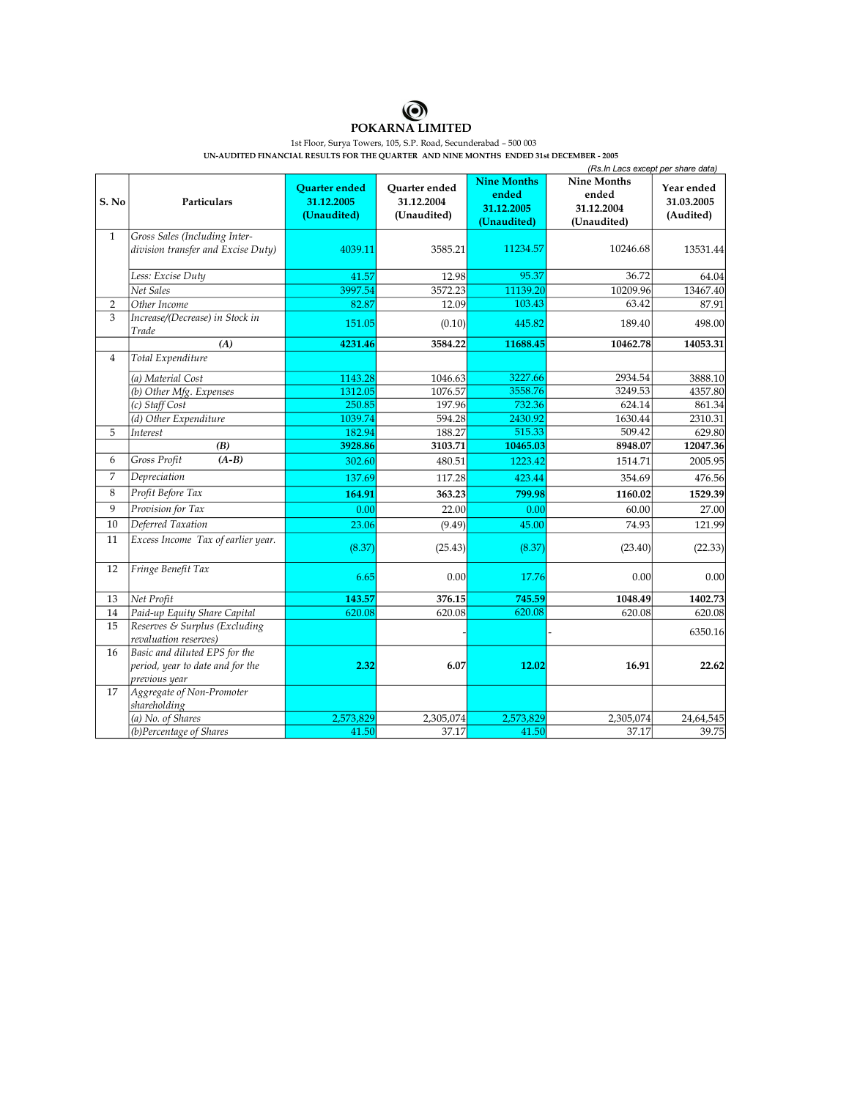

1st Floor, Surya Towers, 105, S.P. Road, Secunderabad – 500 003

UN-AUDITED FINANCIAL RESULTS FOR THE QUARTER AND NINE MONTHS ENDED 31st DECEMBER - 2005

|                |                                                                                    | (Rs. In Lacs except per share data)               |                                            |                                                          |                                                          |                                       |  |
|----------------|------------------------------------------------------------------------------------|---------------------------------------------------|--------------------------------------------|----------------------------------------------------------|----------------------------------------------------------|---------------------------------------|--|
| S. No          | Particulars                                                                        | <b>Quarter</b> ended<br>31.12.2005<br>(Unaudited) | Quarter ended<br>31.12.2004<br>(Unaudited) | <b>Nine Months</b><br>ended<br>31.12.2005<br>(Unaudited) | <b>Nine Months</b><br>ended<br>31.12.2004<br>(Unaudited) | Year ended<br>31.03.2005<br>(Audited) |  |
| $\mathbf{1}$   | Gross Sales (Including Inter-                                                      |                                                   |                                            |                                                          |                                                          |                                       |  |
|                | division transfer and Excise Duty)                                                 | 4039.11                                           | 3585.21                                    | 11234.57                                                 | 10246.68                                                 | 13531.44                              |  |
|                | Less: Excise Duty                                                                  | 41.57                                             | 12.98                                      | 95.37                                                    | 36.72                                                    | 64.04                                 |  |
|                | Net Sales                                                                          | 3997.54                                           | 3572.23                                    | 11139.20                                                 | 10209.96                                                 | 13467.40                              |  |
| $\overline{2}$ | Other Income                                                                       | 82.87                                             | 12.09                                      | 103.43                                                   | 63.42                                                    | 87.91                                 |  |
| 3              | Increase/(Decrease) in Stock in<br>Trade                                           | 151.05                                            | (0.10)                                     | 445.82                                                   | 189.40                                                   | 498.00                                |  |
|                | (A)                                                                                | 4231.46                                           | 3584.22                                    | 11688.45                                                 | 10462.78                                                 | 14053.31                              |  |
| $\overline{4}$ | Total Expenditure                                                                  |                                                   |                                            |                                                          |                                                          |                                       |  |
|                | (a) Material Cost                                                                  | 1143.28                                           | 1046.63                                    | 3227.66                                                  | 2934.54                                                  | 3888.10                               |  |
|                | (b) Other Mfg. Expenses                                                            | 1312.05                                           | 1076.57                                    | 3558.76                                                  | 3249.53                                                  | 4357.80                               |  |
|                | (c) Staff Cost                                                                     | 250.85                                            | 197.96                                     | 732.36                                                   | 624.14                                                   | 861.34                                |  |
|                | (d) Other Expenditure                                                              | 1039.74                                           | 594.28                                     | 2430.92                                                  | 1630.44                                                  | 2310.31                               |  |
| 5              | Interest                                                                           | 182.94                                            | 188.27                                     | 515.33                                                   | 509.42                                                   | 629.80                                |  |
|                | (B)                                                                                | 3928.86                                           | 3103.71                                    | 10465.03                                                 | 8948.07                                                  | 12047.36                              |  |
| 6              | Gross Profit<br>$(A-B)$                                                            | 302.60                                            | 480.51                                     | 1223.42                                                  | 1514.71                                                  | 2005.95                               |  |
| $\overline{7}$ | Depreciation                                                                       | 137.69                                            | 117.28                                     | 423.44                                                   | 354.69                                                   | 476.56                                |  |
| 8              | Profit Before Tax                                                                  | 164.91                                            | 363.23                                     | 799.98                                                   | 1160.02                                                  | 1529.39                               |  |
| 9              | Provision for Tax                                                                  | 0.00                                              | 22.00                                      | 0.00                                                     | 60.00                                                    | 27.00                                 |  |
| 10             | Deferred Taxation                                                                  | 23.06                                             | (9.49)                                     | 45.00                                                    | 74.93                                                    | 121.99                                |  |
| 11             | Excess Income Tax of earlier year.                                                 | (8.37)                                            | (25.43)                                    | (8.37)                                                   | (23.40)                                                  | (22.33)                               |  |
| 12             | Fringe Benefit Tax                                                                 | 6.65                                              | 0.00                                       | 17.76                                                    | 0.00                                                     | 0.00                                  |  |
| 13             | Net Profit                                                                         | 143.57                                            | 376.15                                     | 745.59                                                   | 1048.49                                                  | 1402.73                               |  |
| 14             | Paid-up Equity Share Capital                                                       | 620.08                                            | 620.08                                     | 620.08                                                   | 620.08                                                   | 620.08                                |  |
| 15             | Reserves & Surplus (Excluding<br>revaluation reserves)                             |                                                   |                                            |                                                          |                                                          | 6350.16                               |  |
| 16             | Basic and diluted EPS for the<br>period, year to date and for the<br>previous year | 2.32                                              | 6.07                                       | 12.02                                                    | 16.91                                                    | 22.62                                 |  |
| 17             | Aggregate of Non-Promoter<br>shareholding                                          |                                                   |                                            |                                                          |                                                          |                                       |  |
|                | (a) No. of Shares                                                                  | 2,573,829                                         | 2,305,074                                  | 2,573,829                                                | 2,305,074                                                | 24,64,545                             |  |
|                | (b)Percentage of Shares                                                            | 41.50                                             | 37.17                                      | 41.50                                                    | 37.17                                                    | 39.75                                 |  |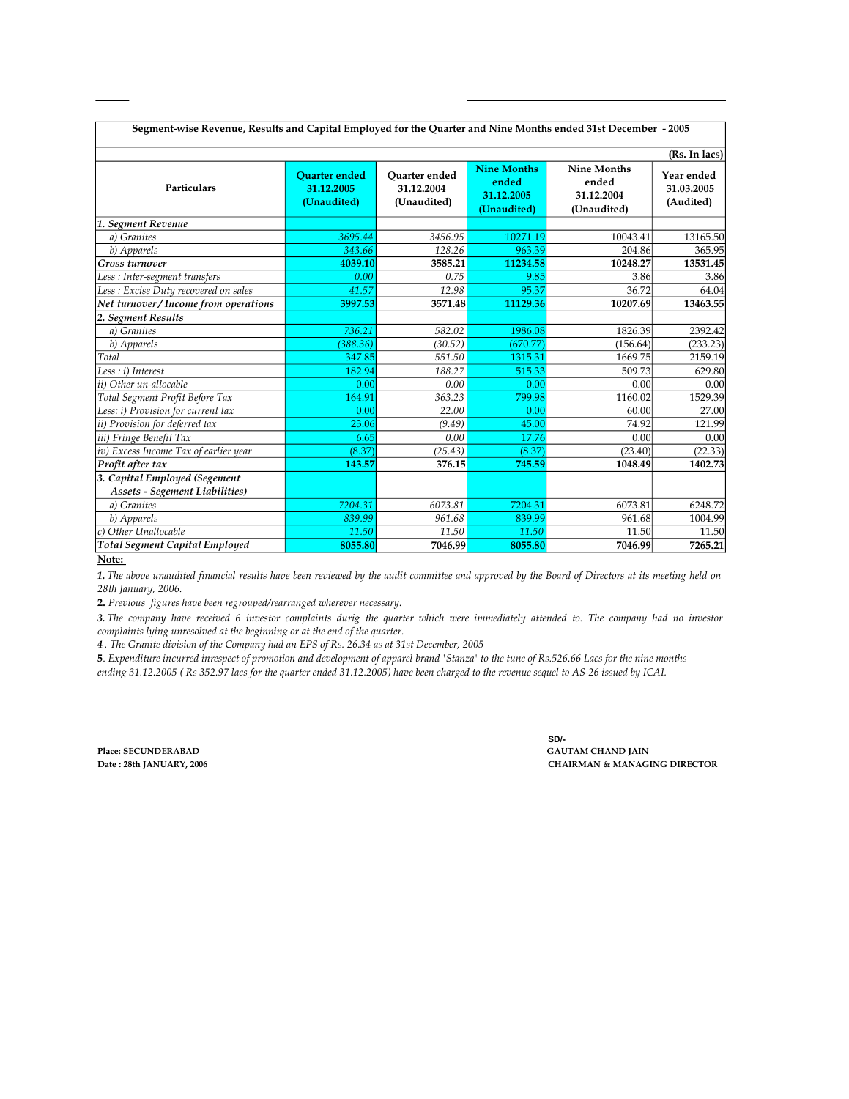|                                                                 |                                                   |                                                   |                                                          |                                                          | (Rs. In lacs)                         |
|-----------------------------------------------------------------|---------------------------------------------------|---------------------------------------------------|----------------------------------------------------------|----------------------------------------------------------|---------------------------------------|
| <b>Particulars</b>                                              | <b>Ouarter</b> ended<br>31.12.2005<br>(Unaudited) | <b>Ouarter</b> ended<br>31.12.2004<br>(Unaudited) | <b>Nine Months</b><br>ended<br>31.12.2005<br>(Unaudited) | <b>Nine Months</b><br>ended<br>31.12.2004<br>(Unaudited) | Year ended<br>31.03.2005<br>(Audited) |
| 1. Segment Revenue                                              |                                                   |                                                   |                                                          |                                                          |                                       |
| a) Granites                                                     | 3695.44                                           | 3456.95                                           | 10271.19                                                 | 10043.41                                                 | 13165.50                              |
| b) Apparels                                                     | 343.66                                            | 128.26                                            | 963.39                                                   | 204.86                                                   | 365.95                                |
| Gross turnover                                                  | 4039.10                                           | 3585.21                                           | 11234.58                                                 | 10248.27                                                 | 13531.45                              |
| Less : Inter-segment transfers                                  | 0.00                                              | 0.75                                              | 9.85                                                     | 3.86                                                     | 3.86                                  |
| Less : Excise Duty recovered on sales                           | 41.57                                             | 12.98                                             | 95.37                                                    | 36.72                                                    | 64.04                                 |
| Net turnover / Income from operations                           | 3997.53                                           | 3571.48                                           | 11129.36                                                 | 10207.69                                                 | 13463.55                              |
| 2. Segment Results                                              |                                                   |                                                   |                                                          |                                                          |                                       |
| a) Granites                                                     | 736.21                                            | 582.02                                            | 1986.08                                                  | 1826.39                                                  | 2392.42                               |
| b) Apparels                                                     | (388.36)                                          | (30.52)                                           | (670.77)                                                 | (156.64)                                                 | (233.23)                              |
| Total                                                           | 347.85                                            | 551.50                                            | 1315.31                                                  | 1669.75                                                  | 2159.19                               |
| Less : i) Interest                                              | 182.94                                            | 188.27                                            | 515.33                                                   | 509.73                                                   | 629.80                                |
| ii) Other un-allocable                                          | 0.00                                              | 0.00                                              | 0.00                                                     | 0.00                                                     | 0.00                                  |
| Total Segment Profit Before Tax                                 | 164.91                                            | 363.23                                            | 799.98                                                   | 1160.02                                                  | 1529.39                               |
| Less: i) Provision for current tax                              | 0.00                                              | 22.00                                             | 0.00                                                     | 60.00                                                    | 27.00                                 |
| ii) Provision for deferred tax                                  | 23.06                                             | (9.49)                                            | 45.00                                                    | 74.92                                                    | 121.99                                |
| iii) Fringe Benefit Tax                                         | 6.65                                              | 0.00                                              | 17.76                                                    | 0.00                                                     | 0.00                                  |
| iv) Excess Income Tax of earlier year                           | (8.37)                                            | (25.43)                                           | (8.37)                                                   | (23.40)                                                  | (22.33)                               |
| Profit after tax                                                | 143.57                                            | 376.15                                            | 745.59                                                   | 1048.49                                                  | 1402.73                               |
| 3. Capital Employed (Segement<br>Assets - Segement Liabilities) |                                                   |                                                   |                                                          |                                                          |                                       |
| a) Granites                                                     | 7204.31                                           | 6073.81                                           | 7204.31                                                  | 6073.81                                                  | 6248.72                               |
| b) Apparels                                                     | 839.99                                            | 961.68                                            | 839.99                                                   | 961.68                                                   | 1004.99                               |
| Other Unallocable<br>c)                                         | 11.50                                             | 11.50                                             | 11.50                                                    | 11.50                                                    | 11.50                                 |
| <b>Total Segment Capital Employed</b>                           | 8055.80                                           | 7046.99                                           | 8055.80                                                  | 7046.99                                                  | 7265.21                               |

**Note:**

1. The above unaudited financial results have been reviewed by the audit committee and approved by the Board of Directors at its meeting held on 28th January, 2006.

**2.** *Previous figures have been regrouped/rearranged wherever necessary.*

*3. The company have received 6 investor complaints durig the quarter which were immediately attended to. The company had no investor complaints lying unresolved at the beginning or at the end of the quarter.* 

*4 . The Granite division of the Company had an EPS of Rs. 26.34 as at 31st December, 2005*

**5**. *Expenditure incurred inrespect of promotion and development of apparel brand 'Stanza' to the tune of Rs.526.66 Lacs for the nine months ending 31.12.2005 ( Rs 352.97 lacs for the quarter ended 31.12.2005) have been charged to the revenue sequel to AS26 issued by ICAI.* 

**SD/ Date : 28th JANUARY, 2006 CHAIRMAN & MANAGING DIRECTOR Place: SECUNDERABAD GAUTAM CHAND JAIN**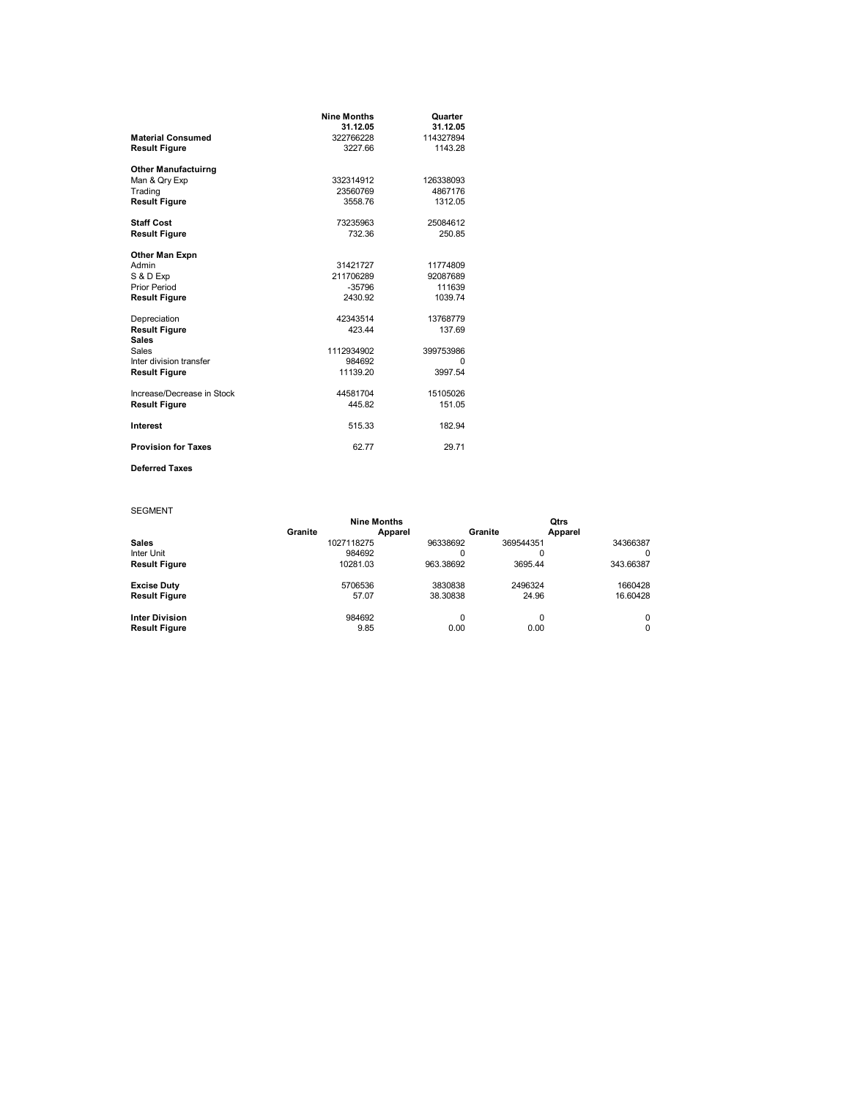|                                      | <b>Nine Months</b> | Quarter   |
|--------------------------------------|--------------------|-----------|
|                                      | 31.12.05           | 31.12.05  |
| <b>Material Consumed</b>             | 322766228          | 114327894 |
| <b>Result Figure</b>                 | 3227.66            | 1143.28   |
| <b>Other Manufactuirng</b>           |                    |           |
| Man & Qry Exp                        | 332314912          | 126338093 |
| Trading                              | 23560769           | 4867176   |
| <b>Result Figure</b>                 | 3558.76            | 1312.05   |
| <b>Staff Cost</b>                    | 73235963           | 25084612  |
| <b>Result Figure</b>                 | 732.36             | 250.85    |
| <b>Other Man Expn</b>                |                    |           |
| Admin                                | 31421727           | 11774809  |
| S & D Exp                            | 211706289          | 92087689  |
| <b>Prior Period</b>                  | $-35796$           | 111639    |
| <b>Result Figure</b>                 | 2430.92            | 1039.74   |
| Depreciation                         | 42343514           | 13768779  |
| <b>Result Figure</b><br><b>Sales</b> | 423.44             | 137.69    |
| Sales                                | 1112934902         | 399753986 |
| Inter division transfer              | 984692             | 0         |
| <b>Result Figure</b>                 | 11139.20           | 3997.54   |
| Increase/Decrease in Stock           | 44581704           | 15105026  |
| <b>Result Figure</b>                 | 445.82             | 151.05    |
| Interest                             | 515.33             | 182.94    |
| <b>Provision for Taxes</b>           | 62.77              | 29.71     |

## **Deferred Taxes**

SEGMENT

|                       | <b>Nine Months</b> |           |           | <b>Qtrs</b> |
|-----------------------|--------------------|-----------|-----------|-------------|
|                       | Granite            | Apparel   | Granite   | Apparel     |
| <b>Sales</b>          | 1027118275         | 96338692  | 369544351 | 34366387    |
| Inter Unit            | 984692             | 0         | 0         |             |
| <b>Result Figure</b>  | 10281.03           | 963.38692 | 3695.44   | 343.66387   |
| <b>Excise Duty</b>    | 5706536            | 3830838   | 2496324   | 1660428     |
| <b>Result Figure</b>  | 57.07              | 38.30838  | 24.96     | 16.60428    |
| <b>Inter Division</b> | 984692             | 0         | 0         |             |
| <b>Result Figure</b>  | 9.85               | 0.00      | 0.00      |             |